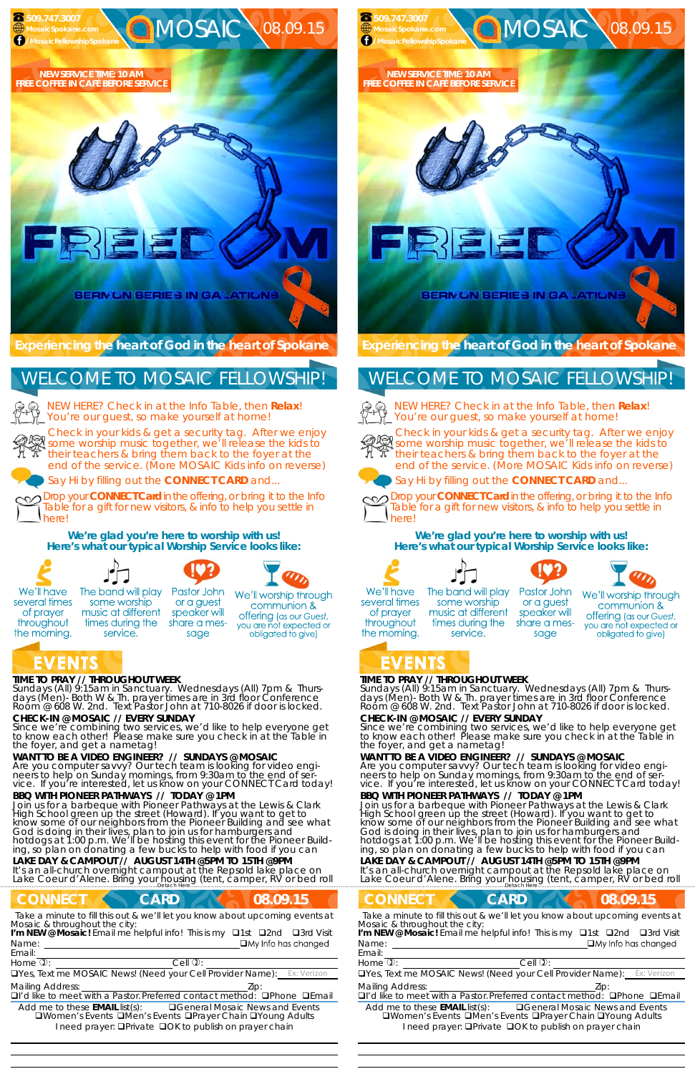# **TIME TO PRAY // THROUGHOUT WEEK**

*Sundays* (All) 9:15am in Sanctuary. *Wednesdays* (All) 7pm & *Thursdays* (Men)- Both W & Th. prayer times are in 3rd floor Conference<br>Room @ 608 W. 2nd. Text Pastor John at 710-8026 if door is locked.

# **CHECK-IN @ MOSAIC // EVERY SUNDAY**

Since we're combining two services, we'd like to help everyone get to know each other! Please make sure you check in at the Table in the foyer, and get a nametag!

# **WANT TO BE A VIDEO ENGINEER? // SUNDAYS @ MOSAIC**

#### **LAKE DAY & CAMPOUT // AUGUST 14TH @5PM TO 15TH @9PM**  It's an all-church overnight campout at the Repsold lake place on Lake Coeur d'Alene. Bring your housing (tent, camper, RV or bed roll under a support of the support of the support of the support of the support of the support of the support of the support of the support of the support of

# **CONNECT CARD 108.09.15**

Are you computer savvy? Our tech team is looking for video engineers to help on Sunday mornings, from 9:30am to the end of service. If you're interested, let us know on your CONNECT Card today!

# **BBQ WITH PIONEER PATHWAYS // TODAY @ 1PM**

NEW HERE? Check in at the Info Table, then **Relax**! You're our guest, so make yourself at home!

Join us for a barbeque with Pioneer Pathways at the Lewis & Clark High School green up the street (Howard). If you want to get to know some of our neighbors from the Pioneer Building and see what God is doing in their lives, plan to join us for hamburgers and hotdogs at 1:00 p.m. We'll be hosting this event for the Pioneer Building, so plan on donating a few bucks to help with food if you can

**OO** Drop your **CONNECT Card** in the offering, or bring it to the Info Table for a gift for new visitors, & info to help you settle in here!

Name: **I'm NEW @ Mosaic!** Email me helpful info! This is my □1st □2nd □3rd Visit *Sundays* (All) 9:15am in Sanctuary. *Wednesdays* (All) 7pm & *Thursdays* (Men)- Both W & Th. prayer times are in 3rd floor Conference<br>Room @ 608 W. 2nd. Text Pastor John at 710-8026 if door is locked.

Check in your kids & get a security tag. After we enjoy Streck in your kids & get a security tag. After we enjoy<br>Some worship music together, we'll release the kids to their teachers & bring them back to the foyer at the end of the service. (More MOSAIC Kids info on reverse)

Say Hi by filling out the **CONNECT CARD** and...

**We're glad you're here to worship with us! Here's what our typical Worship Service looks like:** 



several times

of prayer

throughout

the morning.



some worship

music at different

times during the

service.



or a guest

speaker will

share a mes-

sage





We'll worship through

communion & **offering** (as our Guest, you are not expected or obligated to give)

NEW HERE? Check in at the Info Table, then **Relax**! You're our guest, so make yourself at home!





Email:

**OO** Drop your **CONNECT Card** in the offering, or bring it to the Info Table for a gift for new visitors, & info to help you settle in here!

*Take a minute to fill this out & we'll let you know about upcoming events at Mosaic & throughout the city:* 

Name: **I'm NEW @ Mosaic!** Email me helpful info! This is my □1st □2nd □3rd Visit

 

Home  $\mathbb{D}$ :  $\qquad \qquad$  Cell  $\mathbb{D}$ :

UYes, Text me MOSAIC News! (Need your Cell Provider Name):

Mailing Address:  $\qquad \qquad$  Zip:

□I'd like to meet with a Pastor. Preferred contact method: □Phone □Email

Add me to these **EMAIL** list(s): General Mosaic News and Events **QWomen's Events QMen's Events QPrayer Chain QYoung Adults** I need prayer: **QPrivate QOK to publish on prayer chain** 

# **CONNECT CARD 18.09.15** *Take a minute to fill this out & we'll let you know about upcoming events at Mosaic & throughout the city:*

# **TIME TO PRAY // THROUGHOUT WEEK**

# **CHECK-IN @ MOSAIC // EVERY SUNDAY**

Since we're combining two services, we'd like to help everyone get to know each other! Please make sure you check in at the Table in the foyer, and get a nametag!

# **WANT TO BE A VIDEO ENGINEER? // SUNDAYS @ MOSAIC**

Are you computer savvy? Our tech team is looking for video engineers to help on Sunday mornings, from 9:30am to the end of service. If you're interested, let us know on your CONNECT Card today!

# **BBQ WITH PIONEER PATHWAYS // TODAY @ 1PM**

Join us for a barbeque with Pioneer Pathways at the Lewis & Clark High School green up the street (Howard). If you want to get to know some of our neighbors from the Pioneer Building and see what God is doing in their lives, plan to join us for hamburgers and hotdogs at 1:00 p.m. We'll be hosting this event for the Pioneer Building, so plan on donating a few bucks to help with food if you can

# **LAKE DAY & CAMPOUT // AUGUST 14TH @5PM TO 15TH @9PM**

It's an all-church overnight campout at the Repsold lake place on<br>Lake Coeur d'Alene. Bring your housing (tent, camper, RV or bed roll under the continuum petach Here

# **Experiencing the heart of God in the heart of Spokane**

Check in your kids & get a security tag. After we enjoy some worship music together, we'll release the kids to their teachers & bring them back to the foyer at the end of the service. (More MOSAIC Kids info on reverse)





Say Hi by filling out the **CONNECT CARD** and...



# **We're glad you're here to worship with us! Here's what our typical Worship Service looks like:**









We'll have several times of prayer throughout the morning.

The band will play some worship music at different times during the service.

Pastor John We'll worship through or a guest communion & speaker will **offering** (as our Guest, share a mesyou are not expected or sage obligated to give)

 **509.747.3007** 

# WELCOME TO MOSAIC FELLOWSHIP!



#### Email:

Home  $\mathbb{D}$ :  $\qquad \qquad$  Cell  $\mathbb{D}$ :

UYes, Text me MOSAIC News! (Need your Cell Provider Name):

#### Mailing Address:  $Zip$ :

 

 $\Box$ I'd like to meet with a Pastor. Preferred contact method:  $\Box$ Phone  $\Box$ Email

Add me to these **EMAIL** list(s): General Mosaic News and Events **QWomen's Events QMen's Events QPrayer Chain QYoung Adults** I need prayer: **QPrivate QOK to publish on prayer chain**